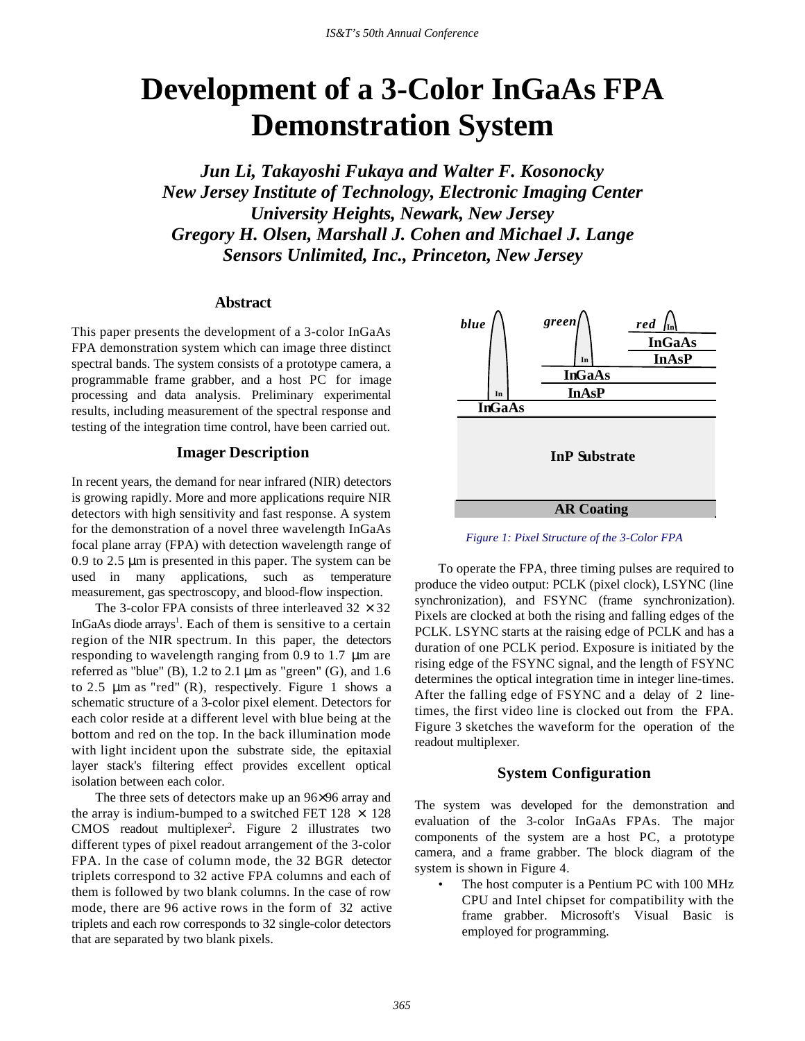# **Development of a 3-Color InGaAs FPA Demonstration System**

*Jun Li, Takayoshi Fukaya and Walter F. Kosonocky New Jersey Institute of Technology, Electronic Imaging Center University Heights, Newark, New Jersey Gregory H. Olsen, Marshall J. Cohen and Michael J. Lange Sensors Unlimited, Inc., Princeton, New Jersey*

# **Abstract**

This paper presents the development of a 3-color InGaAs FPA demonstration system which can image three distinct spectral bands. The system consists of a prototype camera, a programmable frame grabber, and a host PC for image processing and data analysis. Preliminary experimental results, including measurement of the spectral response and testing of the integration time control, have been carried out.

## **Imager Description**

In recent years, the demand for near infrared (NIR) detectors is growing rapidly. More and more applications require NIR detectors with high sensitivity and fast response. A system for the demonstration of a novel three wavelength InGaAs focal plane array (FPA) with detection wavelength range of 0.9 to 2.5 μm is presented in this paper. The system can be used in many applications, such as temperature measurement, gas spectroscopy, and blood-flow inspection.

The 3-color FPA consists of three interleaved  $32 \times 32$ InGaAs diode arrays<sup>1</sup>. Each of them is sensitive to a certain region of the NIR spectrum. In this paper, the detectors responding to wavelength ranging from 0.9 to 1.7 μm are referred as "blue" (B),  $1.2$  to  $2.1 \mu m$  as "green" (G), and  $1.6$ to 2.5  $\mu$ m as "red" (R), respectively. Figure 1 shows a schematic structure of a 3-color pixel element. Detectors for each color reside at a different level with blue being at the bottom and red on the top. In the back illumination mode with light incident upon the substrate side, the epitaxial layer stack's filtering effect provides excellent optical isolation between each color.

The three sets of detectors make up an 96×96 array and the array is indium-bumped to a switched FET  $128 \times 128$ CMOS readout multiplexer<sup>2</sup>. Figure 2 illustrates two different types of pixel readout arrangement of the 3-color FPA. In the case of column mode, the 32 BGR detector triplets correspond to 32 active FPA columns and each of them is followed by two blank columns. In the case of row mode, there are 96 active rows in the form of 32 active triplets and each row corresponds to 32 single-color detectors that are separated by two blank pixels.



*Figure 1: Pixel Structure of the 3-Color FPA*

To operate the FPA, three timing pulses are required to produce the video output: PCLK (pixel clock), LSYNC (line synchronization), and FSYNC (frame synchronization). Pixels are clocked at both the rising and falling edges of the PCLK. LSYNC starts at the raising edge of PCLK and has a duration of one PCLK period. Exposure is initiated by the rising edge of the FSYNC signal, and the length of FSYNC determines the optical integration time in integer line-times. After the falling edge of FSYNC and a delay of 2 linetimes, the first video line is clocked out from the FPA. Figure 3 sketches the waveform for the operation of the readout multiplexer.

#### **System Configuration**

The system was developed for the demonstration and evaluation of the 3-color InGaAs FPAs. The major components of the system are a host PC, a prototype camera, and a frame grabber. The block diagram of the system is shown in Figure 4.

The host computer is a Pentium PC with 100 MHz CPU and Intel chipset for compatibility with the frame grabber. Microsoft's Visual Basic is employed for programming.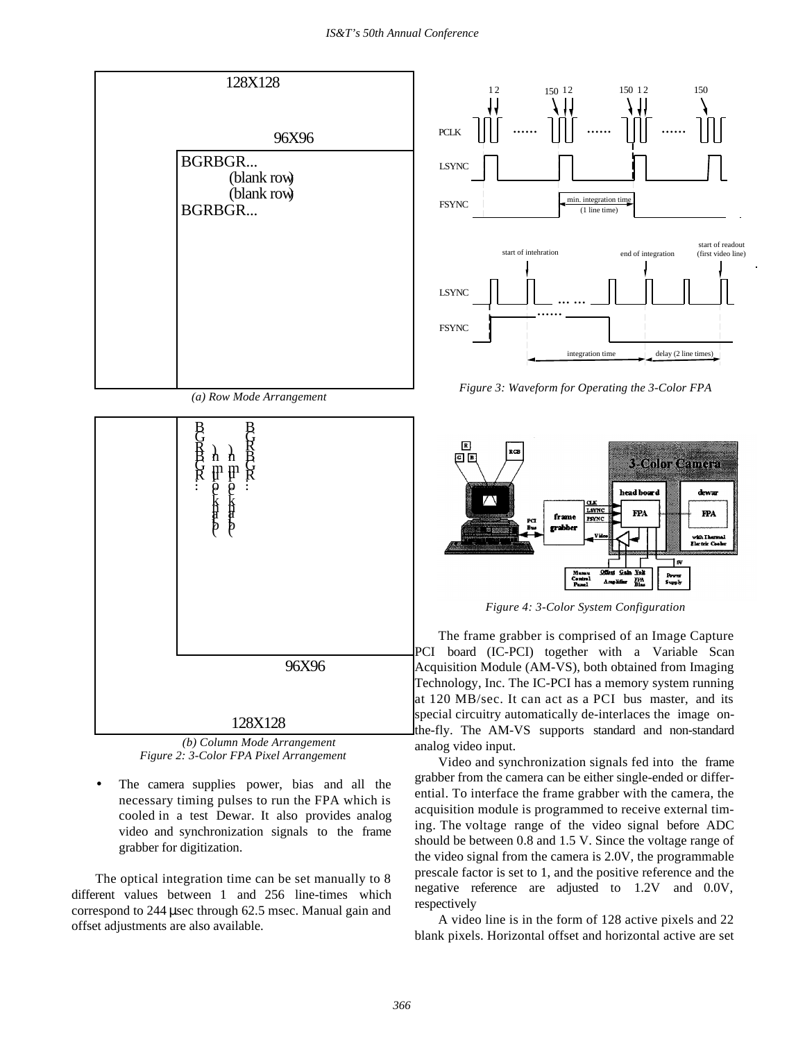

 *(a) Row Mode Arrangement*



 *(b) Column Mode Arrangement Figure 2: 3-Color FPA Pixel Arrangement*

The camera supplies power, bias and all the necessary timing pulses to run the FPA which is cooled in a test Dewar. It also provides analog video and synchronization signals to the frame grabber for digitization.

The optical integration time can be set manually to 8 different values between 1 and 256 line-times which correspond to 244 μsec through 62.5 msec. Manual gain and offset adjustments are also available.



*Figure 3: Waveform for Operating the 3-Color FPA*



*Figure 4: 3-Color System Configuration*

The frame grabber is comprised of an Image Capture PCI board (IC-PCI) together with a Variable Scan Acquisition Module (AM-VS), both obtained from Imaging Technology, Inc. The IC-PCI has a memory system running at 120 MB/sec. It can act as a PCI bus master, and its special circuitry automatically de-interlaces the image onthe-fly. The AM-VS supports standard and non-standard analog video input.

Video and synchronization signals fed into the frame grabber from the camera can be either single-ended or differential. To interface the frame grabber with the camera, the acquisition module is programmed to receive external timing. The voltage range of the video signal before ADC should be between 0.8 and 1.5 V. Since the voltage range of the video signal from the camera is 2.0V, the programmable prescale factor is set to 1, and the positive reference and the negative reference are adjusted to 1.2V and 0.0V, respectively

A video line is in the form of 128 active pixels and 22 blank pixels. Horizontal offset and horizontal active are set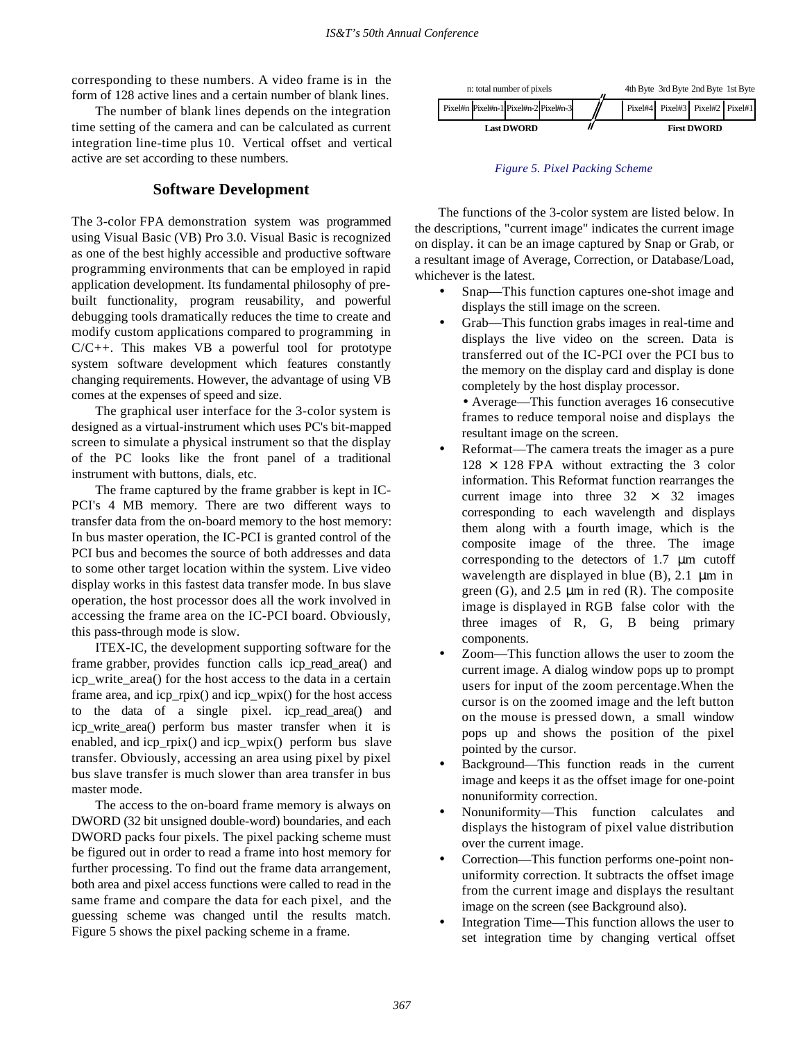corresponding to these numbers. A video frame is in the form of 128 active lines and a certain number of blank lines.

The number of blank lines depends on the integration time setting of the camera and can be calculated as current integration line-time plus 10. Vertical offset and vertical active are set according to these numbers.

### **Software Development**

The 3-color FPA demonstration system was programmed using Visual Basic (VB) Pro 3.0. Visual Basic is recognized as one of the best highly accessible and productive software programming environments that can be employed in rapid application development. Its fundamental philosophy of prebuilt functionality, program reusability, and powerful debugging tools dramatically reduces the time to create and modify custom applications compared to programming in  $C/C++$ . This makes VB a powerful tool for prototype system software development which features constantly changing requirements. However, the advantage of using VB comes at the expenses of speed and size.

The graphical user interface for the 3-color system is designed as a virtual-instrument which uses PC's bit-mapped screen to simulate a physical instrument so that the display of the PC looks like the front panel of a traditional instrument with buttons, dials, etc.

The frame captured by the frame grabber is kept in IC-PCI's 4 MB memory. There are two different ways to transfer data from the on-board memory to the host memory: In bus master operation, the IC-PCI is granted control of the PCI bus and becomes the source of both addresses and data to some other target location within the system. Live video display works in this fastest data transfer mode. In bus slave operation, the host processor does all the work involved in accessing the frame area on the IC-PCI board. Obviously, this pass-through mode is slow.

ITEX-IC, the development supporting software for the frame grabber, provides function calls icp\_read\_area() and icp\_write\_area() for the host access to the data in a certain frame area, and icp\_rpix() and icp\_wpix() for the host access to the data of a single pixel. icp\_read\_area() and icp\_write\_area() perform bus master transfer when it is enabled, and icp rpix() and icp wpix() perform bus slave transfer. Obviously, accessing an area using pixel by pixel bus slave transfer is much slower than area transfer in bus master mode.

The access to the on-board frame memory is always on DWORD (32 bit unsigned double-word) boundaries, and each DWORD packs four pixels. The pixel packing scheme must be figured out in order to read a frame into host memory for further processing. To find out the frame data arrangement, both area and pixel access functions were called to read in the same frame and compare the data for each pixel, and the guessing scheme was changed until the results match. Figure 5 shows the pixel packing scheme in a frame.



*Figure 5. Pixel Packing Scheme*

The functions of the 3-color system are listed below. In the descriptions, "current image" indicates the current image on display. it can be an image captured by Snap or Grab, or a resultant image of Average, Correction, or Database/Load, whichever is the latest.

- Snap—This function captures one-shot image and displays the still image on the screen.
- Grab—This function grabs images in real-time and displays the live video on the screen. Data is transferred out of the IC-PCI over the PCI bus to the memory on the display card and display is done completely by the host display processor.

• Average—This function averages 16 consecutive frames to reduce temporal noise and displays the resultant image on the screen.

- Reformat—The camera treats the imager as a pure  $128 \times 128$  FPA without extracting the 3 color information. This Reformat function rearranges the current image into three  $32 \times 32$  images corresponding to each wavelength and displays them along with a fourth image, which is the composite image of the three. The image corresponding to the detectors of 1.7 μm cutoff wavelength are displayed in blue (B), 2.1 μm in green  $(G)$ , and 2.5  $\mu$ m in red  $(R)$ . The composite image is displayed in RGB false color with the three images of R, G, B being primary components.
- Zoom—This function allows the user to zoom the current image. A dialog window pops up to prompt users for input of the zoom percentage.When the cursor is on the zoomed image and the left button on the mouse is pressed down, a small window pops up and shows the position of the pixel pointed by the cursor.
- Background—This function reads in the current image and keeps it as the offset image for one-point nonuniformity correction.
- Nonuniformity—This function calculates and displays the histogram of pixel value distribution over the current image.
- Correction—This function performs one-point nonuniformity correction. It subtracts the offset image from the current image and displays the resultant image on the screen (see Background also).
- Integration Time—This function allows the user to set integration time by changing vertical offset